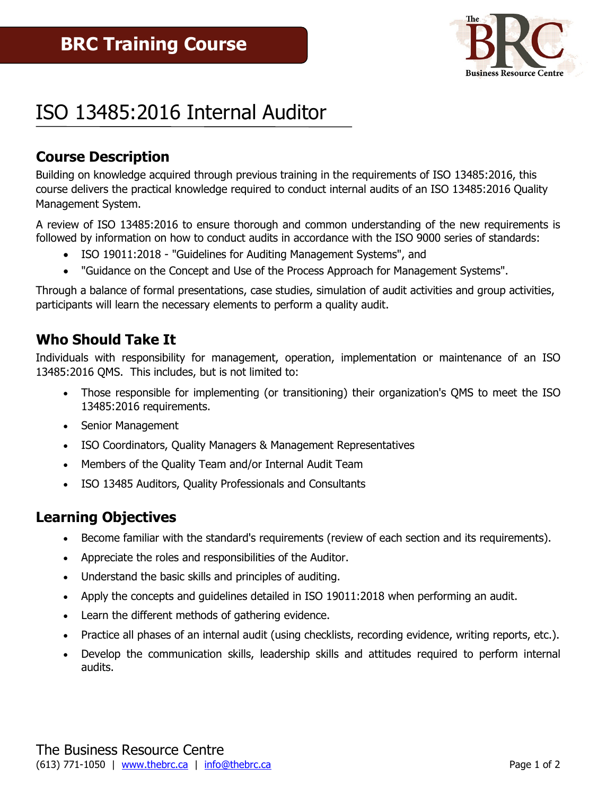

# ISO 13485:2016 Internal Auditor

# **Course Description**

Building on knowledge acquired through previous training in the requirements of ISO 13485:2016, this course delivers the practical knowledge required to conduct internal audits of an ISO 13485:2016 Quality Management System.

A review of ISO 13485:2016 to ensure thorough and common understanding of the new requirements is followed by information on how to conduct audits in accordance with the ISO 9000 series of standards:

- ISO 19011:2018 "Guidelines for Auditing Management Systems", and
- "Guidance on the Concept and Use of the Process Approach for Management Systems".

Through a balance of formal presentations, case studies, simulation of audit activities and group activities, participants will learn the necessary elements to perform a quality audit.

#### **Who Should Take It**

Individuals with responsibility for management, operation, implementation or maintenance of an ISO 13485:2016 QMS. This includes, but is not limited to:

- Those responsible for implementing (or transitioning) their organization's QMS to meet the ISO 13485:2016 requirements.
- Senior Management
- ISO Coordinators, Quality Managers & Management Representatives
- Members of the Quality Team and/or Internal Audit Team
- ISO 13485 Auditors, Quality Professionals and Consultants

### **Learning Objectives**

- Become familiar with the standard's requirements (review of each section and its requirements).
- Appreciate the roles and responsibilities of the Auditor.
- Understand the basic skills and principles of auditing.
- Apply the concepts and guidelines detailed in ISO 19011:2018 when performing an audit.
- Learn the different methods of gathering evidence.
- Practice all phases of an internal audit (using checklists, recording evidence, writing reports, etc.).
- Develop the communication skills, leadership skills and attitudes required to perform internal audits.